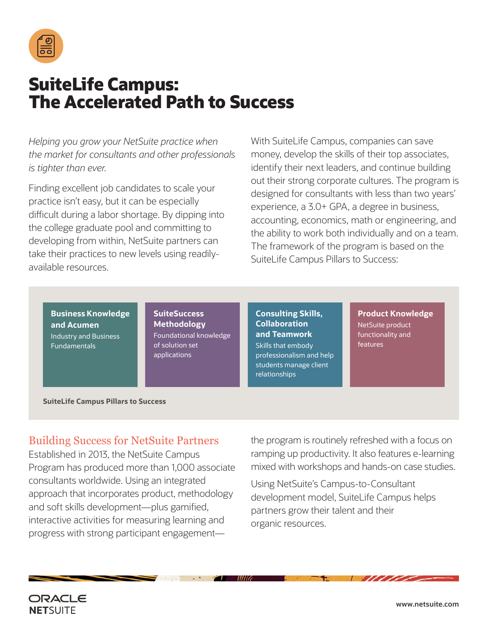

## **SuiteLife Campus: The Accelerated Path to Success**

*Helping you grow your NetSuite practice when the market for consultants and other professionals is tighter than ever.* 

Finding excellent job candidates to scale your practice isn't easy, but it can be especially difficult during a labor shortage. By dipping into the college graduate pool and committing to developing from within, NetSuite partners can take their practices to new levels using readilyavailable resources.

With SuiteLife Campus, companies can save money, develop the skills of their top associates, identify their next leaders, and continue building out their strong corporate cultures. The program is designed for consultants with less than two years' experience, a 3.0+ GPA, a degree in business, accounting, economics, math or engineering, and the ability to work both individually and on a team. The framework of the program is based on the SuiteLife Campus Pillars to Success:

**Business Knowledge and Acumen** Industry and Business Fundamentals

**SuiteSuccess Methodology** Foundational knowledge of solution set applications

**Consulting Skills, Collaboration and Teamwork** Skills that embody professionalism and help students manage client relationships

MIG

**Product Knowledge** NetSuite product functionality and features

**SuiteLife Campus Pillars to Success**

## Building Success for NetSuite Partners

Established in 2013, the NetSuite Campus Program has produced more than 1,000 associate consultants worldwide. Using an integrated approach that incorporates product, methodology and soft skills development—plus gamified, interactive activities for measuring learning and progress with strong participant engagementthe program is routinely refreshed with a focus on ramping up productivity. It also features e-learning mixed with workshops and hands-on case studies.

Using NetSuite's Campus-to-Consultant development model, SuiteLife Campus helps partners grow their talent and their organic resources.